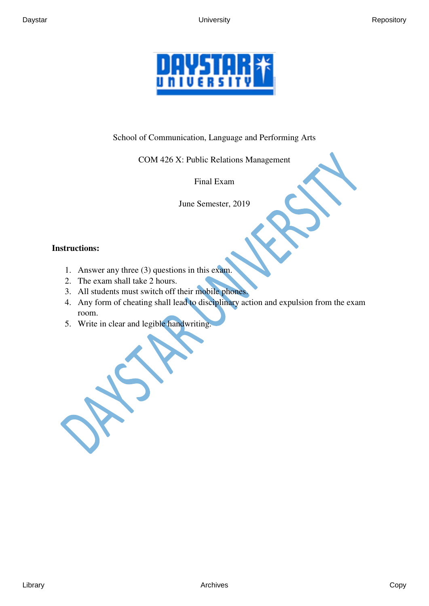

School of Communication, Language and Performing Arts

COM 426 X: Public Relations Management

Final Exam

June Semester, 2019

## **Instructions:**

- 1. Answer any three (3) questions in this exam.
- 2. The exam shall take 2 hours.
- 3. All students must switch off their mobile phones.
- 4. Any form of cheating shall lead to disciplinary action and expulsion from the exam room.
- 5. Write in clear and legible handwriting.